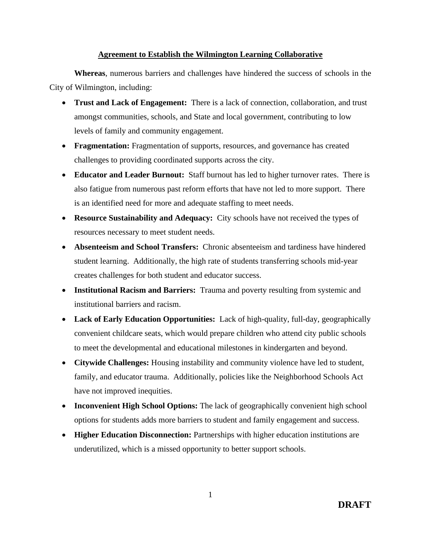## **Agreement to Establish the Wilmington Learning Collaborative**

**Whereas**, numerous barriers and challenges have hindered the success of schools in the City of Wilmington, including:

- **Trust and Lack of Engagement:** There is a lack of connection, collaboration, and trust amongst communities, schools, and State and local government, contributing to low levels of family and community engagement.
- **Fragmentation:** Fragmentation of supports, resources, and governance has created challenges to providing coordinated supports across the city.
- **Educator and Leader Burnout:** Staff burnout has led to higher turnover rates. There is also fatigue from numerous past reform efforts that have not led to more support. There is an identified need for more and adequate staffing to meet needs.
- **Resource Sustainability and Adequacy:** City schools have not received the types of resources necessary to meet student needs.
- **Absenteeism and School Transfers:** Chronic absenteeism and tardiness have hindered student learning. Additionally, the high rate of students transferring schools mid-year creates challenges for both student and educator success.
- **Institutional Racism and Barriers:** Trauma and poverty resulting from systemic and institutional barriers and racism.
- **Lack of Early Education Opportunities:** Lack of high-quality, full-day, geographically convenient childcare seats, which would prepare children who attend city public schools to meet the developmental and educational milestones in kindergarten and beyond.
- **Citywide Challenges:** Housing instability and community violence have led to student, family, and educator trauma. Additionally, policies like the Neighborhood Schools Act have not improved inequities.
- **Inconvenient High School Options:** The lack of geographically convenient high school options for students adds more barriers to student and family engagement and success.
- **Higher Education Disconnection:** Partnerships with higher education institutions are underutilized, which is a missed opportunity to better support schools.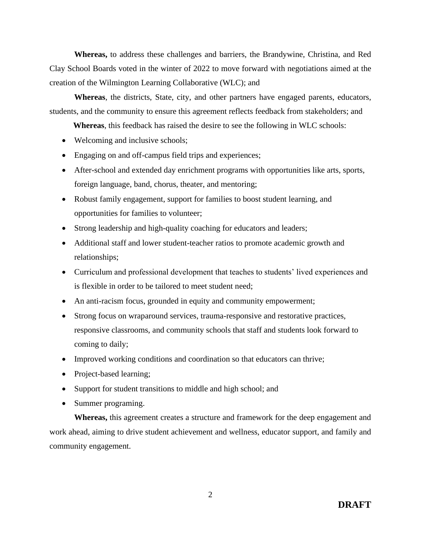**Whereas,** to address these challenges and barriers, the Brandywine, Christina, and Red Clay School Boards voted in the winter of 2022 to move forward with negotiations aimed at the creation of the Wilmington Learning Collaborative (WLC); and

**Whereas**, the districts, State, city, and other partners have engaged parents, educators, students, and the community to ensure this agreement reflects feedback from stakeholders; and

**Whereas**, this feedback has raised the desire to see the following in WLC schools:

- Welcoming and inclusive schools;
- Engaging on and off-campus field trips and experiences;
- After-school and extended day enrichment programs with opportunities like arts, sports, foreign language, band, chorus, theater, and mentoring;
- Robust family engagement, support for families to boost student learning, and opportunities for families to volunteer;
- Strong leadership and high-quality coaching for educators and leaders;
- Additional staff and lower student-teacher ratios to promote academic growth and relationships;
- Curriculum and professional development that teaches to students' lived experiences and is flexible in order to be tailored to meet student need;
- An anti-racism focus, grounded in equity and community empowerment;
- Strong focus on wraparound services, trauma-responsive and restorative practices, responsive classrooms, and community schools that staff and students look forward to coming to daily;
- Improved working conditions and coordination so that educators can thrive;
- Project-based learning;
- Support for student transitions to middle and high school; and
- Summer programing.

**Whereas,** this agreement creates a structure and framework for the deep engagement and work ahead, aiming to drive student achievement and wellness, educator support, and family and community engagement.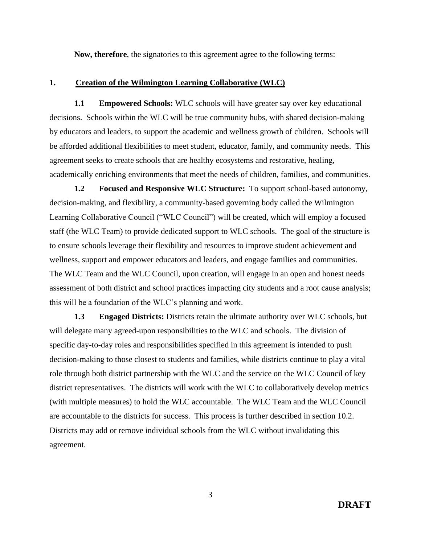**Now, therefore**, the signatories to this agreement agree to the following terms:

### **1. Creation of the Wilmington Learning Collaborative (WLC)**

**1.1 Empowered Schools:** WLC schools will have greater say over key educational decisions. Schools within the WLC will be true community hubs, with shared decision-making by educators and leaders, to support the academic and wellness growth of children. Schools will be afforded additional flexibilities to meet student, educator, family, and community needs. This agreement seeks to create schools that are healthy ecosystems and restorative, healing, academically enriching environments that meet the needs of children, families, and communities.

**1.2 Focused and Responsive WLC Structure:** To support school-based autonomy, decision-making, and flexibility, a community-based governing body called the Wilmington Learning Collaborative Council ("WLC Council") will be created, which will employ a focused staff (the WLC Team) to provide dedicated support to WLC schools. The goal of the structure is to ensure schools leverage their flexibility and resources to improve student achievement and wellness, support and empower educators and leaders, and engage families and communities. The WLC Team and the WLC Council, upon creation, will engage in an open and honest needs assessment of both district and school practices impacting city students and a root cause analysis; this will be a foundation of the WLC's planning and work.

**1.3 Engaged Districts:** Districts retain the ultimate authority over WLC schools, but will delegate many agreed-upon responsibilities to the WLC and schools. The division of specific day-to-day roles and responsibilities specified in this agreement is intended to push decision-making to those closest to students and families, while districts continue to play a vital role through both district partnership with the WLC and the service on the WLC Council of key district representatives. The districts will work with the WLC to collaboratively develop metrics (with multiple measures) to hold the WLC accountable. The WLC Team and the WLC Council are accountable to the districts for success. This process is further described in section 10.2. Districts may add or remove individual schools from the WLC without invalidating this agreement.

3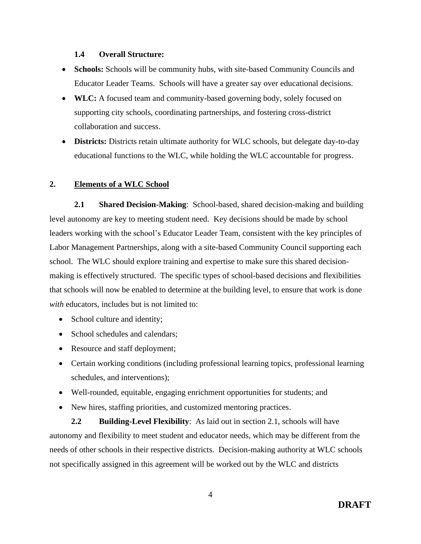## **1.4 Overall Structure:**

- **Schools:** Schools will be community hubs, with site-based Community Councils and Educator Leader Teams. Schools will have a greater say over educational decisions.
- **WLC:** A focused team and community-based governing body, solely focused on supporting city schools, coordinating partnerships, and fostering cross-district collaboration and success.
- **Districts:** Districts retain ultimate authority for WLC schools, but delegate day-to-day educational functions to the WLC, while holding the WLC accountable for progress.

## **2. Elements of a WLC School**

**2.1 Shared Decision-Making**: School-based, shared decision-making and building level autonomy are key to meeting student need. Key decisions should be made by school leaders working with the school's Educator Leader Team, consistent with the key principles of Labor Management Partnerships, along with a site-based Community Council supporting each school. The WLC should explore training and expertise to make sure this shared decisionmaking is effectively structured. The specific types of school-based decisions and flexibilities that schools will now be enabled to determine at the building level, to ensure that work is done *with* educators, includes but is not limited to:

- School culture and identity;
- School schedules and calendars:
- Resource and staff deployment;
- Certain working conditions (including professional learning topics, professional learning schedules, and interventions);
- Well-rounded, equitable, engaging enrichment opportunities for students; and
- New hires, staffing priorities, and customized mentoring practices.

**2.2 Building-Level Flexibility**: As laid out in section 2.1, schools will have autonomy and flexibility to meet student and educator needs, which may be different from the needs of other schools in their respective districts. Decision-making authority at WLC schools not specifically assigned in this agreement will be worked out by the WLC and districts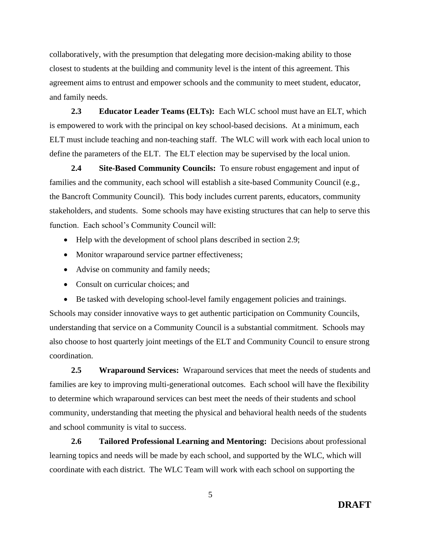collaboratively, with the presumption that delegating more decision-making ability to those closest to students at the building and community level is the intent of this agreement. This agreement aims to entrust and empower schools and the community to meet student, educator, and family needs.

**2.3 Educator Leader Teams (ELTs):** Each WLC school must have an ELT, which is empowered to work with the principal on key school-based decisions. At a minimum, each ELT must include teaching and non-teaching staff. The WLC will work with each local union to define the parameters of the ELT. The ELT election may be supervised by the local union.

**2.4 Site-Based Community Councils:** To ensure robust engagement and input of families and the community, each school will establish a site-based Community Council (e.g., the Bancroft Community Council). This body includes current parents, educators, community stakeholders, and students. Some schools may have existing structures that can help to serve this function. Each school's Community Council will:

- Help with the development of school plans described in section 2.9;
- Monitor wraparound service partner effectiveness;
- Advise on community and family needs;
- Consult on curricular choices; and
- Be tasked with developing school-level family engagement policies and trainings.

Schools may consider innovative ways to get authentic participation on Community Councils, understanding that service on a Community Council is a substantial commitment. Schools may also choose to host quarterly joint meetings of the ELT and Community Council to ensure strong coordination.

**2.5 Wraparound Services:** Wraparound services that meet the needs of students and families are key to improving multi-generational outcomes. Each school will have the flexibility to determine which wraparound services can best meet the needs of their students and school community, understanding that meeting the physical and behavioral health needs of the students and school community is vital to success.

**2.6 Tailored Professional Learning and Mentoring:** Decisions about professional learning topics and needs will be made by each school, and supported by the WLC, which will coordinate with each district. The WLC Team will work with each school on supporting the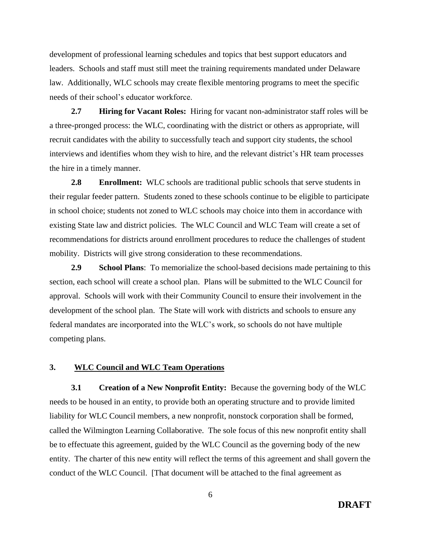development of professional learning schedules and topics that best support educators and leaders. Schools and staff must still meet the training requirements mandated under Delaware law. Additionally, WLC schools may create flexible mentoring programs to meet the specific needs of their school's educator workforce.

**2.7 Hiring for Vacant Roles:** Hiring for vacant non-administrator staff roles will be a three-pronged process: the WLC, coordinating with the district or others as appropriate, will recruit candidates with the ability to successfully teach and support city students, the school interviews and identifies whom they wish to hire, and the relevant district's HR team processes the hire in a timely manner.

**2.8 Enrollment:** WLC schools are traditional public schools that serve students in their regular feeder pattern. Students zoned to these schools continue to be eligible to participate in school choice; students not zoned to WLC schools may choice into them in accordance with existing State law and district policies. The WLC Council and WLC Team will create a set of recommendations for districts around enrollment procedures to reduce the challenges of student mobility. Districts will give strong consideration to these recommendations.

**2.9 School Plans**: To memorialize the school-based decisions made pertaining to this section, each school will create a school plan. Plans will be submitted to the WLC Council for approval. Schools will work with their Community Council to ensure their involvement in the development of the school plan. The State will work with districts and schools to ensure any federal mandates are incorporated into the WLC's work, so schools do not have multiple competing plans.

## **3. WLC Council and WLC Team Operations**

**3.1 Creation of a New Nonprofit Entity:** Because the governing body of the WLC needs to be housed in an entity, to provide both an operating structure and to provide limited liability for WLC Council members, a new nonprofit, nonstock corporation shall be formed, called the Wilmington Learning Collaborative. The sole focus of this new nonprofit entity shall be to effectuate this agreement, guided by the WLC Council as the governing body of the new entity. The charter of this new entity will reflect the terms of this agreement and shall govern the conduct of the WLC Council. [That document will be attached to the final agreement as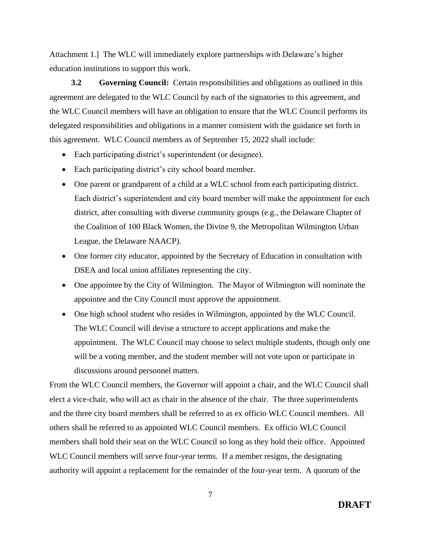Attachment 1.] The WLC will immediately explore partnerships with Delaware's higher education institutions to support this work.

**3.2 Governing Council:** Certain responsibilities and obligations as outlined in this agreement are delegated to the WLC Council by each of the signatories to this agreement, and the WLC Council members will have an obligation to ensure that the WLC Council performs its delegated responsibilities and obligations in a manner consistent with the guidance set forth in this agreement. WLC Council members as of September 15, 2022 shall include:

- Each participating district's superintendent (or designee).
- Each participating district's city school board member.
- One parent or grandparent of a child at a WLC school from each participating district. Each district's superintendent and city board member will make the appointment for each district, after consulting with diverse community groups (e.g., the Delaware Chapter of the Coalition of 100 Black Women, the Divine 9, the Metropolitan Wilmington Urban League, the Delaware NAACP).
- One former city educator, appointed by the Secretary of Education in consultation with DSEA and local union affiliates representing the city.
- One appointee by the City of Wilmington. The Mayor of Wilmington will nominate the appointee and the City Council must approve the appointment.
- One high school student who resides in Wilmington, appointed by the WLC Council. The WLC Council will devise a structure to accept applications and make the appointment. The WLC Council may choose to select multiple students, though only one will be a voting member, and the student member will not vote upon or participate in discussions around personnel matters.

From the WLC Council members, the Governor will appoint a chair, and the WLC Council shall elect a vice-chair, who will act as chair in the absence of the chair. The three superintendents and the three city board members shall be referred to as ex officio WLC Council members. All others shall be referred to as appointed WLC Council members. Ex officio WLC Council members shall hold their seat on the WLC Council so long as they hold their office. Appointed WLC Council members will serve four-year terms. If a member resigns, the designating authority will appoint a replacement for the remainder of the four-year term. A quorum of the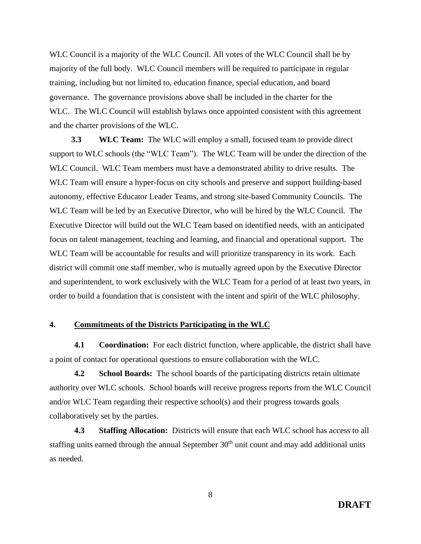WLC Council is a majority of the WLC Council. All votes of the WLC Council shall be by majority of the full body. WLC Council members will be required to participate in regular training, including but not limited to, education finance, special education, and board governance. The governance provisions above shall be included in the charter for the WLC. The WLC Council will establish bylaws once appointed consistent with this agreement and the charter provisions of the WLC.

**3.3 WLC Team:** The WLC will employ a small, focused team to provide direct support to WLC schools (the "WLC Team"). The WLC Team will be under the direction of the WLC Council. WLC Team members must have a demonstrated ability to drive results. The WLC Team will ensure a hyper-focus on city schools and preserve and support building-based autonomy, effective Educator Leader Teams, and strong site-based Community Councils. The WLC Team will be led by an Executive Director, who will be hired by the WLC Council. The Executive Director will build out the WLC Team based on identified needs, with an anticipated focus on talent management, teaching and learning, and financial and operational support. The WLC Team will be accountable for results and will prioritize transparency in its work. Each district will commit one staff member, who is mutually agreed upon by the Executive Director and superintendent, to work exclusively with the WLC Team for a period of at least two years, in order to build a foundation that is consistent with the intent and spirit of the WLC philosophy.

## **4. Commitments of the Districts Participating in the WLC**

**4.1 Coordination:** For each district function, where applicable, the district shall have a point of contact for operational questions to ensure collaboration with the WLC.

**4.2 School Boards:** The school boards of the participating districts retain ultimate authority over WLC schools. School boards will receive progress reports from the WLC Council and/or WLC Team regarding their respective school(s) and their progress towards goals collaboratively set by the parties.

**4.3 Staffing Allocation:** Districts will ensure that each WLC school has access to all staffing units earned through the annual September 30<sup>th</sup> unit count and may add additional units as needed.

**DRAFT**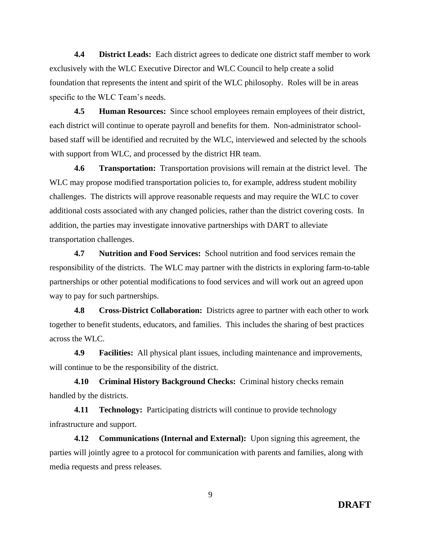**4.4 District Leads:** Each district agrees to dedicate one district staff member to work exclusively with the WLC Executive Director and WLC Council to help create a solid foundation that represents the intent and spirit of the WLC philosophy. Roles will be in areas specific to the WLC Team's needs.

**4.5 Human Resources:** Since school employees remain employees of their district, each district will continue to operate payroll and benefits for them. Non-administrator schoolbased staff will be identified and recruited by the WLC, interviewed and selected by the schools with support from WLC, and processed by the district HR team.

**4.6 Transportation:** Transportation provisions will remain at the district level. The WLC may propose modified transportation policies to, for example, address student mobility challenges. The districts will approve reasonable requests and may require the WLC to cover additional costs associated with any changed policies, rather than the district covering costs. In addition, the parties may investigate innovative partnerships with DART to alleviate transportation challenges.

**4.7 Nutrition and Food Services:** School nutrition and food services remain the responsibility of the districts. The WLC may partner with the districts in exploring farm-to-table partnerships or other potential modifications to food services and will work out an agreed upon way to pay for such partnerships.

**4.8 Cross-District Collaboration:** Districts agree to partner with each other to work together to benefit students, educators, and families. This includes the sharing of best practices across the WLC.

**4.9 Facilities:** All physical plant issues, including maintenance and improvements, will continue to be the responsibility of the district.

**4.10 Criminal History Background Checks:** Criminal history checks remain handled by the districts.

**4.11 Technology:** Participating districts will continue to provide technology infrastructure and support.

**4.12 Communications (Internal and External):** Upon signing this agreement, the parties will jointly agree to a protocol for communication with parents and families, along with media requests and press releases.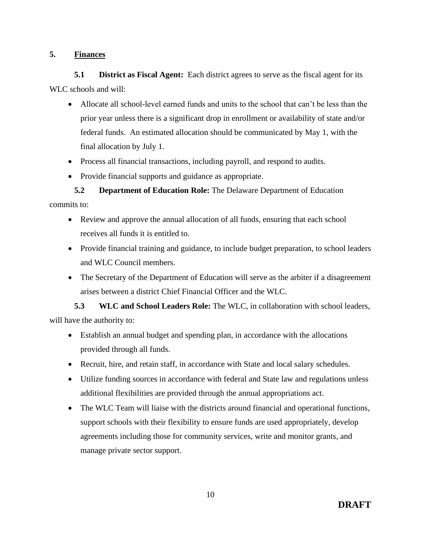## **5. Finances**

**5.1 District as Fiscal Agent:** Each district agrees to serve as the fiscal agent for its WLC schools and will:

- Allocate all school-level earned funds and units to the school that can't be less than the prior year unless there is a significant drop in enrollment or availability of state and/or federal funds. An estimated allocation should be communicated by May 1, with the final allocation by July 1.
- Process all financial transactions, including payroll, and respond to audits.
- Provide financial supports and guidance as appropriate.

# **5.2 Department of Education Role:** The Delaware Department of Education commits to:

- Review and approve the annual allocation of all funds, ensuring that each school receives all funds it is entitled to.
- Provide financial training and guidance, to include budget preparation, to school leaders and WLC Council members.
- The Secretary of the Department of Education will serve as the arbiter if a disagreement arises between a district Chief Financial Officer and the WLC.

**5.3 WLC and School Leaders Role:** The WLC, in collaboration with school leaders, will have the authority to:

- Establish an annual budget and spending plan, in accordance with the allocations provided through all funds.
- Recruit, hire, and retain staff, in accordance with State and local salary schedules.
- Utilize funding sources in accordance with federal and State law and regulations unless additional flexibilities are provided through the annual appropriations act.
- The WLC Team will liaise with the districts around financial and operational functions, support schools with their flexibility to ensure funds are used appropriately, develop agreements including those for community services, write and monitor grants, and manage private sector support.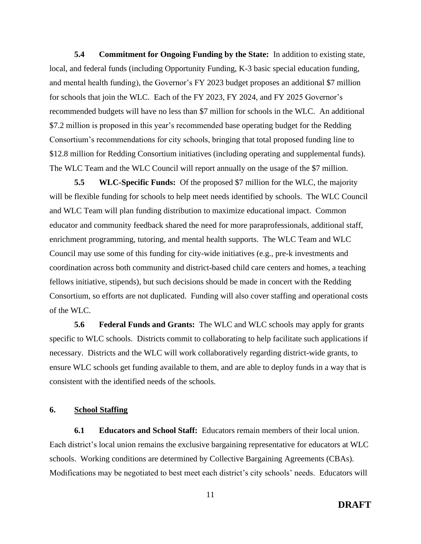**5.4 Commitment for Ongoing Funding by the State:** In addition to existing state, local, and federal funds (including Opportunity Funding, K-3 basic special education funding, and mental health funding), the Governor's FY 2023 budget proposes an additional \$7 million for schools that join the WLC. Each of the FY 2023, FY 2024, and FY 2025 Governor's recommended budgets will have no less than \$7 million for schools in the WLC. An additional \$7.2 million is proposed in this year's recommended base operating budget for the Redding Consortium's recommendations for city schools, bringing that total proposed funding line to \$12.8 million for Redding Consortium initiatives (including operating and supplemental funds). The WLC Team and the WLC Council will report annually on the usage of the \$7 million.

**5.5 WLC-Specific Funds:** Of the proposed \$7 million for the WLC, the majority will be flexible funding for schools to help meet needs identified by schools. The WLC Council and WLC Team will plan funding distribution to maximize educational impact. Common educator and community feedback shared the need for more paraprofessionals, additional staff, enrichment programming, tutoring, and mental health supports. The WLC Team and WLC Council may use some of this funding for city-wide initiatives (e.g., pre-k investments and coordination across both community and district-based child care centers and homes, a teaching fellows initiative, stipends), but such decisions should be made in concert with the Redding Consortium, so efforts are not duplicated. Funding will also cover staffing and operational costs of the WLC.

**5.6 Federal Funds and Grants:** The WLC and WLC schools may apply for grants specific to WLC schools. Districts commit to collaborating to help facilitate such applications if necessary. Districts and the WLC will work collaboratively regarding district-wide grants, to ensure WLC schools get funding available to them, and are able to deploy funds in a way that is consistent with the identified needs of the schools.

## **6. School Staffing**

**6.1 Educators and School Staff:** Educators remain members of their local union. Each district's local union remains the exclusive bargaining representative for educators at WLC schools. Working conditions are determined by Collective Bargaining Agreements (CBAs). Modifications may be negotiated to best meet each district's city schools' needs. Educators will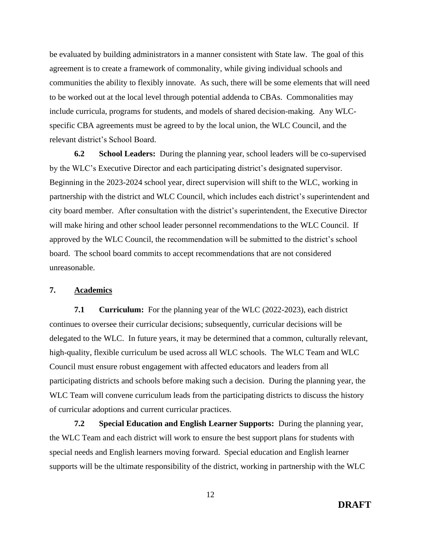be evaluated by building administrators in a manner consistent with State law. The goal of this agreement is to create a framework of commonality, while giving individual schools and communities the ability to flexibly innovate. As such, there will be some elements that will need to be worked out at the local level through potential addenda to CBAs. Commonalities may include curricula, programs for students, and models of shared decision-making. Any WLCspecific CBA agreements must be agreed to by the local union, the WLC Council, and the relevant district's School Board.

**6.2 School Leaders:** During the planning year, school leaders will be co-supervised by the WLC's Executive Director and each participating district's designated supervisor. Beginning in the 2023-2024 school year, direct supervision will shift to the WLC, working in partnership with the district and WLC Council, which includes each district's superintendent and city board member. After consultation with the district's superintendent, the Executive Director will make hiring and other school leader personnel recommendations to the WLC Council. If approved by the WLC Council, the recommendation will be submitted to the district's school board. The school board commits to accept recommendations that are not considered unreasonable.

## **7. Academics**

**7.1 Curriculum:** For the planning year of the WLC (2022-2023), each district continues to oversee their curricular decisions; subsequently, curricular decisions will be delegated to the WLC. In future years, it may be determined that a common, culturally relevant, high-quality, flexible curriculum be used across all WLC schools. The WLC Team and WLC Council must ensure robust engagement with affected educators and leaders from all participating districts and schools before making such a decision. During the planning year, the WLC Team will convene curriculum leads from the participating districts to discuss the history of curricular adoptions and current curricular practices.

**7.2 Special Education and English Learner Supports:** During the planning year, the WLC Team and each district will work to ensure the best support plans for students with special needs and English learners moving forward. Special education and English learner supports will be the ultimate responsibility of the district, working in partnership with the WLC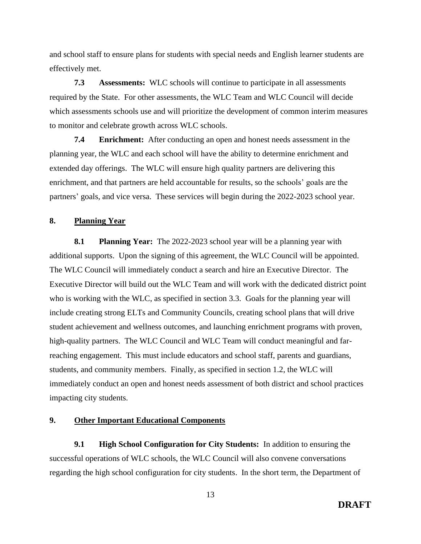and school staff to ensure plans for students with special needs and English learner students are effectively met.

**7.3 Assessments:** WLC schools will continue to participate in all assessments required by the State. For other assessments, the WLC Team and WLC Council will decide which assessments schools use and will prioritize the development of common interim measures to monitor and celebrate growth across WLC schools.

**7.4 Enrichment:** After conducting an open and honest needs assessment in the planning year, the WLC and each school will have the ability to determine enrichment and extended day offerings. The WLC will ensure high quality partners are delivering this enrichment, and that partners are held accountable for results, so the schools' goals are the partners' goals, and vice versa. These services will begin during the 2022-2023 school year.

## **8. Planning Year**

**8.1 Planning Year:** The 2022-2023 school year will be a planning year with additional supports. Upon the signing of this agreement, the WLC Council will be appointed. The WLC Council will immediately conduct a search and hire an Executive Director. The Executive Director will build out the WLC Team and will work with the dedicated district point who is working with the WLC, as specified in section 3.3. Goals for the planning year will include creating strong ELTs and Community Councils, creating school plans that will drive student achievement and wellness outcomes, and launching enrichment programs with proven, high-quality partners. The WLC Council and WLC Team will conduct meaningful and farreaching engagement. This must include educators and school staff, parents and guardians, students, and community members. Finally, as specified in section 1.2, the WLC will immediately conduct an open and honest needs assessment of both district and school practices impacting city students.

## **9. Other Important Educational Components**

**9.1 High School Configuration for City Students:** In addition to ensuring the successful operations of WLC schools, the WLC Council will also convene conversations regarding the high school configuration for city students. In the short term, the Department of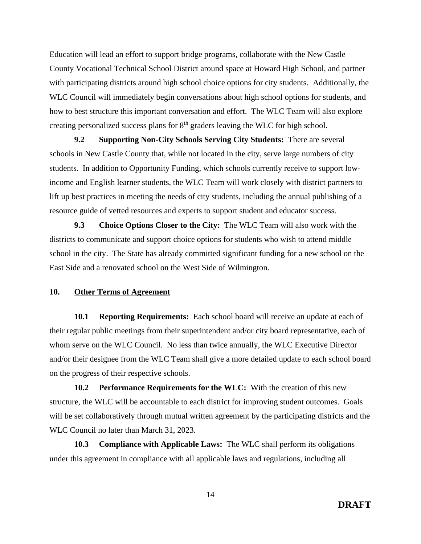Education will lead an effort to support bridge programs, collaborate with the New Castle County Vocational Technical School District around space at Howard High School, and partner with participating districts around high school choice options for city students. Additionally, the WLC Council will immediately begin conversations about high school options for students, and how to best structure this important conversation and effort. The WLC Team will also explore creating personalized success plans for  $8<sup>th</sup>$  graders leaving the WLC for high school.

**9.2 Supporting Non-City Schools Serving City Students:** There are several schools in New Castle County that, while not located in the city, serve large numbers of city students. In addition to Opportunity Funding, which schools currently receive to support lowincome and English learner students, the WLC Team will work closely with district partners to lift up best practices in meeting the needs of city students, including the annual publishing of a resource guide of vetted resources and experts to support student and educator success.

**9.3 Choice Options Closer to the City:** The WLC Team will also work with the districts to communicate and support choice options for students who wish to attend middle school in the city. The State has already committed significant funding for a new school on the East Side and a renovated school on the West Side of Wilmington.

## **10. Other Terms of Agreement**

**10.1 Reporting Requirements:** Each school board will receive an update at each of their regular public meetings from their superintendent and/or city board representative, each of whom serve on the WLC Council. No less than twice annually, the WLC Executive Director and/or their designee from the WLC Team shall give a more detailed update to each school board on the progress of their respective schools.

**10.2 Performance Requirements for the WLC:** With the creation of this new structure, the WLC will be accountable to each district for improving student outcomes. Goals will be set collaboratively through mutual written agreement by the participating districts and the WLC Council no later than March 31, 2023.

**10.3 Compliance with Applicable Laws:** The WLC shall perform its obligations under this agreement in compliance with all applicable laws and regulations, including all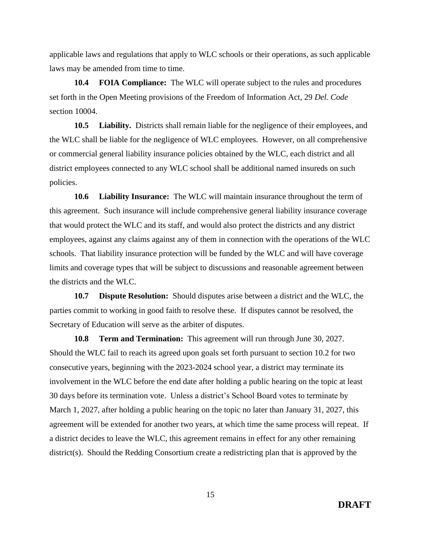applicable laws and regulations that apply to WLC schools or their operations, as such applicable laws may be amended from time to time.

**10.4 FOIA Compliance:** The WLC will operate subject to the rules and procedures set forth in the Open Meeting provisions of the Freedom of Information Act, 29 *Del. Code* section 10004.

**10.5 Liability.** Districts shall remain liable for the negligence of their employees, and the WLC shall be liable for the negligence of WLC employees. However, on all comprehensive or commercial general liability insurance policies obtained by the WLC, each district and all district employees connected to any WLC school shall be additional named insureds on such policies.

**10.6 Liability Insurance:** The WLC will maintain insurance throughout the term of this agreement. Such insurance will include comprehensive general liability insurance coverage that would protect the WLC and its staff, and would also protect the districts and any district employees, against any claims against any of them in connection with the operations of the WLC schools. That liability insurance protection will be funded by the WLC and will have coverage limits and coverage types that will be subject to discussions and reasonable agreement between the districts and the WLC.

**10.7 Dispute Resolution:** Should disputes arise between a district and the WLC, the parties commit to working in good faith to resolve these. If disputes cannot be resolved, the Secretary of Education will serve as the arbiter of disputes.

**10.8 Term and Termination:** This agreement will run through June 30, 2027. Should the WLC fail to reach its agreed upon goals set forth pursuant to section 10.2 for two consecutive years, beginning with the 2023-2024 school year, a district may terminate its involvement in the WLC before the end date after holding a public hearing on the topic at least 30 days before its termination vote. Unless a district's School Board votes to terminate by March 1, 2027, after holding a public hearing on the topic no later than January 31, 2027, this agreement will be extended for another two years, at which time the same process will repeat. If a district decides to leave the WLC, this agreement remains in effect for any other remaining district(s). Should the Redding Consortium create a redistricting plan that is approved by the